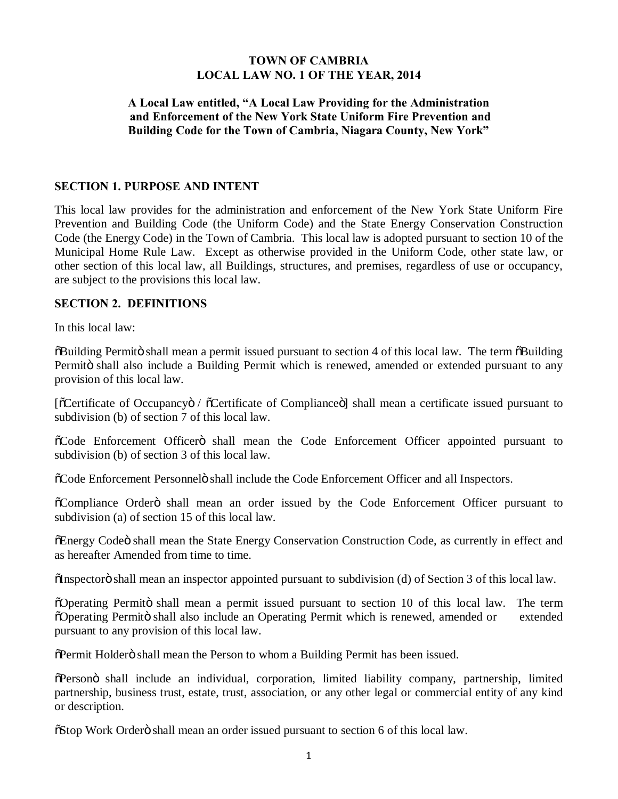## **TOWN OF CAMBRIA LOCAL LAW NO. 1 OF THE YEAR, 2014**

# **A Local Law entitled, "A Local Law Providing for the Administration and Enforcement of the New York State Uniform Fire Prevention and Building Code for the Town of Cambria, Niagara County, New York"**

#### **SECTION 1. PURPOSE AND INTENT**

This local law provides for the administration and enforcement of the New York State Uniform Fire Prevention and Building Code (the Uniform Code) and the State Energy Conservation Construction Code (the Energy Code) in the Town of Cambria. This local law is adopted pursuant to section 10 of the Municipal Home Rule Law. Except as otherwise provided in the Uniform Code, other state law, or other section of this local law, all Buildings, structures, and premises, regardless of use or occupancy, are subject to the provisions this local law.

#### **SECTION 2. DEFINITIONS**

In this local law:

 $\delta$ Building Permitö shall mean a permit issued pursuant to section 4 of this local law. The term  $\delta$ Building Permitö shall also include a Building Permit which is renewed, amended or extended pursuant to any provision of this local law.

[öCertificate of Occupancyö / öCertificate of Complianceö] shall mean a certificate issued pursuant to subdivision (b) of section 7 of this local law.

 $\tilde{\text{o}}$ Code Enforcement Officero shall mean the Code Enforcement Officer appointed pursuant to subdivision (b) of section 3 of this local law.

 $\delta$ Code Enforcement Personnelö shall include the Code Enforcement Officer and all Inspectors.

 $\tilde{\text{o}}$ Compliance Order $\ddot{\text{o}}$  shall mean an order issued by the Code Enforcement Officer pursuant to subdivision (a) of section 15 of this local law.

 $E$  Energy Code oshall mean the State Energy Conservation Construction Code, as currently in effect and as hereafter Amended from time to time.

"Inspector" shall mean an inspector appointed pursuant to subdivision (d) of Section 3 of this local law.

 $\tilde{O}$  Operating Permito shall mean a permit issued pursuant to section 10 of this local law. The term  $\overline{O}$ Operating Permit $\ddot{o}$  shall also include an Operating Permit which is renewed, amended or extended pursuant to any provision of this local law.

 $\delta$ Permit Holderö shall mean the Person to whom a Building Permit has been issued.

"Person" shall include an individual, corporation, limited liability company, partnership, limited partnership, business trust, estate, trust, association, or any other legal or commercial entity of any kind or description.

 $\delta$ Stop Work Orderö shall mean an order issued pursuant to section 6 of this local law.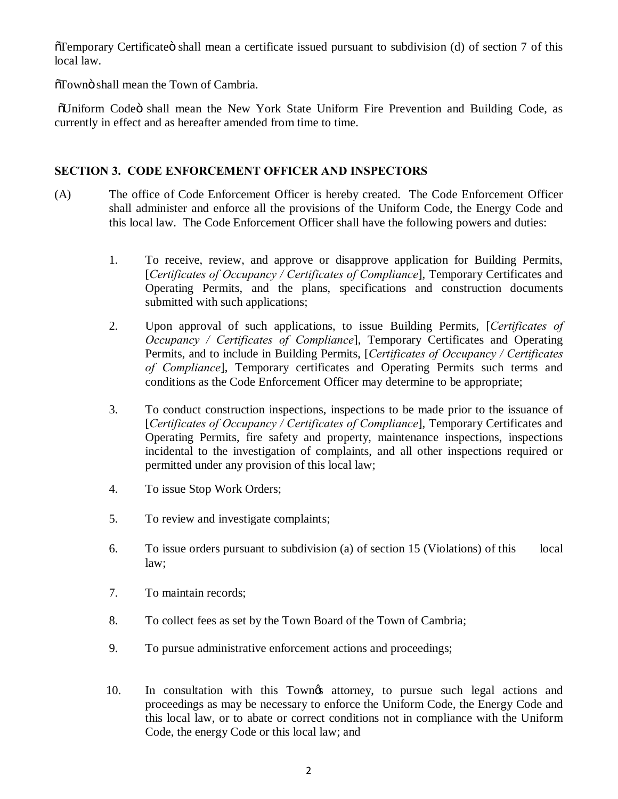$\tilde{\sigma}$ Temporary Certificate $\tilde{\sigma}$  shall mean a certificate issued pursuant to subdivision (d) of section 7 of this local law.

 $\delta$ Town $\ddot{\text{o}}$  shall mean the Town of Cambria.

 $\ddot{\text{O}}$ Uniform Codeö shall mean the New York State Uniform Fire Prevention and Building Code, as currently in effect and as hereafter amended from time to time.

## **SECTION 3. CODE ENFORCEMENT OFFICER AND INSPECTORS**

- (A) The office of Code Enforcement Officer is hereby created. The Code Enforcement Officer shall administer and enforce all the provisions of the Uniform Code, the Energy Code and this local law. The Code Enforcement Officer shall have the following powers and duties:
	- 1. To receive, review, and approve or disapprove application for Building Permits, [*Certificates of Occupancy / Certificates of Compliance*], Temporary Certificates and Operating Permits, and the plans, specifications and construction documents submitted with such applications;
	- 2. Upon approval of such applications, to issue Building Permits, [*Certificates of Occupancy / Certificates of Compliance*], Temporary Certificates and Operating Permits, and to include in Building Permits, [*Certificates of Occupancy / Certificates of Compliance*], Temporary certificates and Operating Permits such terms and conditions as the Code Enforcement Officer may determine to be appropriate;
	- 3. To conduct construction inspections, inspections to be made prior to the issuance of [*Certificates of Occupancy / Certificates of Compliance*], Temporary Certificates and Operating Permits, fire safety and property, maintenance inspections, inspections incidental to the investigation of complaints, and all other inspections required or permitted under any provision of this local law;
	- 4. To issue Stop Work Orders;
	- 5. To review and investigate complaints;
	- 6. To issue orders pursuant to subdivision (a) of section 15 (Violations) of this local law;
	- 7. To maintain records;
	- 8. To collect fees as set by the Town Board of the Town of Cambria;
	- 9. To pursue administrative enforcement actions and proceedings;
	- 10. In consultation with this Town other attorney, to pursue such legal actions and proceedings as may be necessary to enforce the Uniform Code, the Energy Code and this local law, or to abate or correct conditions not in compliance with the Uniform Code, the energy Code or this local law; and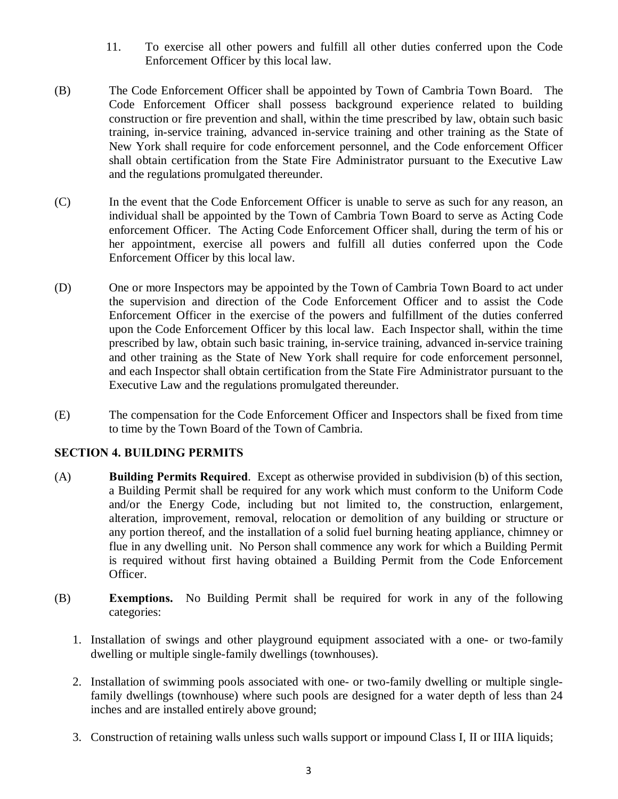- 11. To exercise all other powers and fulfill all other duties conferred upon the Code Enforcement Officer by this local law.
- (B) The Code Enforcement Officer shall be appointed by Town of Cambria Town Board. The Code Enforcement Officer shall possess background experience related to building construction or fire prevention and shall, within the time prescribed by law, obtain such basic training, in-service training, advanced in-service training and other training as the State of New York shall require for code enforcement personnel, and the Code enforcement Officer shall obtain certification from the State Fire Administrator pursuant to the Executive Law and the regulations promulgated thereunder.
- (C) In the event that the Code Enforcement Officer is unable to serve as such for any reason, an individual shall be appointed by the Town of Cambria Town Board to serve as Acting Code enforcement Officer. The Acting Code Enforcement Officer shall, during the term of his or her appointment, exercise all powers and fulfill all duties conferred upon the Code Enforcement Officer by this local law.
- (D) One or more Inspectors may be appointed by the Town of Cambria Town Board to act under the supervision and direction of the Code Enforcement Officer and to assist the Code Enforcement Officer in the exercise of the powers and fulfillment of the duties conferred upon the Code Enforcement Officer by this local law. Each Inspector shall, within the time prescribed by law, obtain such basic training, in-service training, advanced in-service training and other training as the State of New York shall require for code enforcement personnel, and each Inspector shall obtain certification from the State Fire Administrator pursuant to the Executive Law and the regulations promulgated thereunder.
- (E) The compensation for the Code Enforcement Officer and Inspectors shall be fixed from time to time by the Town Board of the Town of Cambria.

# **SECTION 4. BUILDING PERMITS**

- (A) **Building Permits Required**. Except as otherwise provided in subdivision (b) of this section, a Building Permit shall be required for any work which must conform to the Uniform Code and/or the Energy Code, including but not limited to, the construction, enlargement, alteration, improvement, removal, relocation or demolition of any building or structure or any portion thereof, and the installation of a solid fuel burning heating appliance, chimney or flue in any dwelling unit. No Person shall commence any work for which a Building Permit is required without first having obtained a Building Permit from the Code Enforcement Officer.
- (B) **Exemptions.** No Building Permit shall be required for work in any of the following categories:
	- 1. Installation of swings and other playground equipment associated with a one- or two-family dwelling or multiple single-family dwellings (townhouses).
	- 2. Installation of swimming pools associated with one- or two-family dwelling or multiple singlefamily dwellings (townhouse) where such pools are designed for a water depth of less than 24 inches and are installed entirely above ground;
	- 3. Construction of retaining walls unless such walls support or impound Class I, II or IIIA liquids;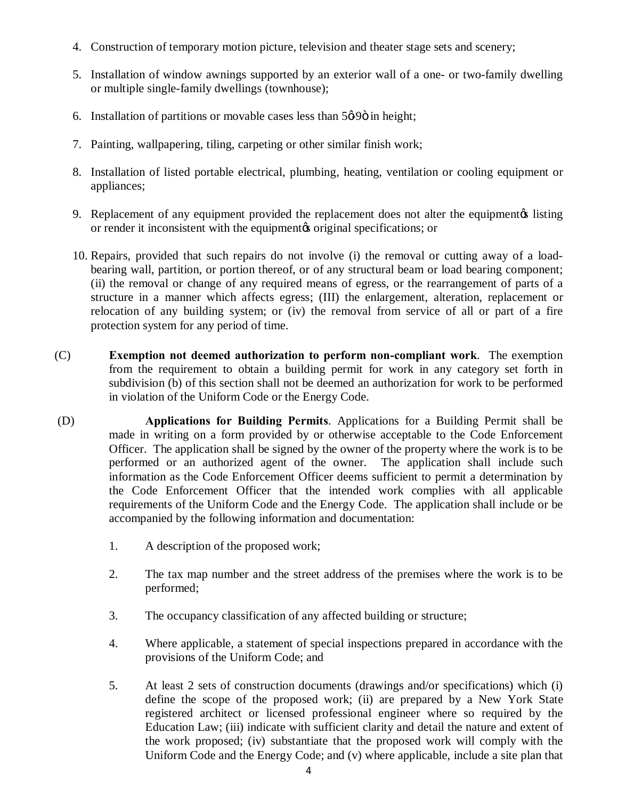- 4. Construction of temporary motion picture, television and theater stage sets and scenery;
- 5. Installation of window awnings supported by an exterior wall of a one- or two-family dwelling or multiple single-family dwellings (townhouse);
- 6. Installation of partitions or movable cases less than  $5\phi 90$  in height;
- 7. Painting, wallpapering, tiling, carpeting or other similar finish work;
- 8. Installation of listed portable electrical, plumbing, heating, ventilation or cooling equipment or appliances;
- 9. Replacement of any equipment provided the replacement does not alter the equipment is listing or render it inconsistent with the equipment to original specifications; or
- 10. Repairs, provided that such repairs do not involve (i) the removal or cutting away of a loadbearing wall, partition, or portion thereof, or of any structural beam or load bearing component; (ii) the removal or change of any required means of egress, or the rearrangement of parts of a structure in a manner which affects egress; (III) the enlargement, alteration, replacement or relocation of any building system; or (iv) the removal from service of all or part of a fire protection system for any period of time.
- (C) **Exemption not deemed authorization to perform non-compliant work**. The exemption from the requirement to obtain a building permit for work in any category set forth in subdivision (b) of this section shall not be deemed an authorization for work to be performed in violation of the Uniform Code or the Energy Code.
- (D) **Applications for Building Permits**. Applications for a Building Permit shall be made in writing on a form provided by or otherwise acceptable to the Code Enforcement Officer. The application shall be signed by the owner of the property where the work is to be performed or an authorized agent of the owner. The application shall include such information as the Code Enforcement Officer deems sufficient to permit a determination by the Code Enforcement Officer that the intended work complies with all applicable requirements of the Uniform Code and the Energy Code. The application shall include or be accompanied by the following information and documentation:
	- 1. A description of the proposed work;
	- 2. The tax map number and the street address of the premises where the work is to be performed;
	- 3. The occupancy classification of any affected building or structure;
	- 4. Where applicable, a statement of special inspections prepared in accordance with the provisions of the Uniform Code; and
	- 5. At least 2 sets of construction documents (drawings and/or specifications) which (i) define the scope of the proposed work; (ii) are prepared by a New York State registered architect or licensed professional engineer where so required by the Education Law; (iii) indicate with sufficient clarity and detail the nature and extent of the work proposed; (iv) substantiate that the proposed work will comply with the Uniform Code and the Energy Code; and (v) where applicable, include a site plan that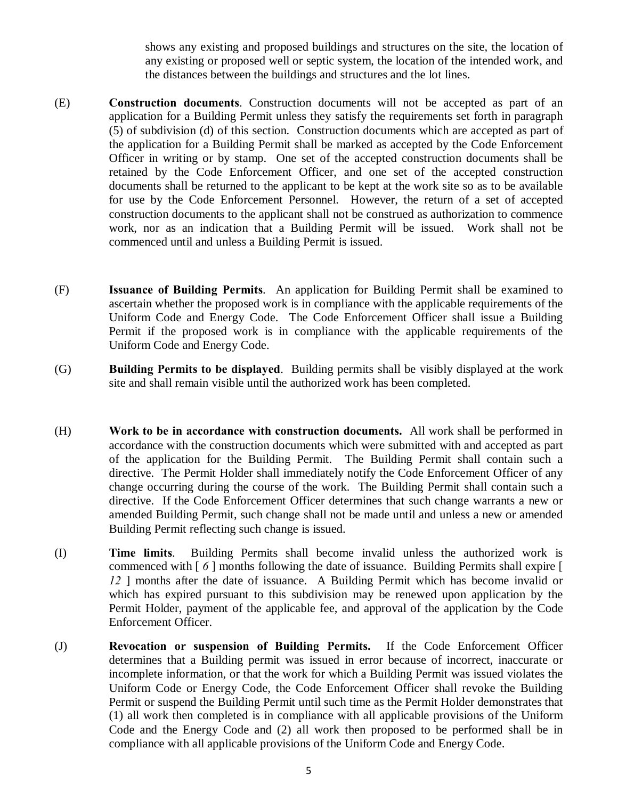shows any existing and proposed buildings and structures on the site, the location of any existing or proposed well or septic system, the location of the intended work, and the distances between the buildings and structures and the lot lines.

- (E) **Construction documents**. Construction documents will not be accepted as part of an application for a Building Permit unless they satisfy the requirements set forth in paragraph (5) of subdivision (d) of this section. Construction documents which are accepted as part of the application for a Building Permit shall be marked as accepted by the Code Enforcement Officer in writing or by stamp. One set of the accepted construction documents shall be retained by the Code Enforcement Officer, and one set of the accepted construction documents shall be returned to the applicant to be kept at the work site so as to be available for use by the Code Enforcement Personnel. However, the return of a set of accepted construction documents to the applicant shall not be construed as authorization to commence work, nor as an indication that a Building Permit will be issued. Work shall not be commenced until and unless a Building Permit is issued.
- (F) **Issuance of Building Permits**. An application for Building Permit shall be examined to ascertain whether the proposed work is in compliance with the applicable requirements of the Uniform Code and Energy Code. The Code Enforcement Officer shall issue a Building Permit if the proposed work is in compliance with the applicable requirements of the Uniform Code and Energy Code.
- (G) **Building Permits to be displayed**. Building permits shall be visibly displayed at the work site and shall remain visible until the authorized work has been completed.
- (H) **Work to be in accordance with construction documents.** All work shall be performed in accordance with the construction documents which were submitted with and accepted as part of the application for the Building Permit. The Building Permit shall contain such a directive. The Permit Holder shall immediately notify the Code Enforcement Officer of any change occurring during the course of the work. The Building Permit shall contain such a directive. If the Code Enforcement Officer determines that such change warrants a new or amended Building Permit, such change shall not be made until and unless a new or amended Building Permit reflecting such change is issued.
- (I) **Time limits**. Building Permits shall become invalid unless the authorized work is commenced with [ *6* ] months following the date of issuance. Building Permits shall expire [ 12 ] months after the date of issuance. A Building Permit which has become invalid or which has expired pursuant to this subdivision may be renewed upon application by the Permit Holder, payment of the applicable fee, and approval of the application by the Code Enforcement Officer.
- (J) **Revocation or suspension of Building Permits.** If the Code Enforcement Officer determines that a Building permit was issued in error because of incorrect, inaccurate or incomplete information, or that the work for which a Building Permit was issued violates the Uniform Code or Energy Code, the Code Enforcement Officer shall revoke the Building Permit or suspend the Building Permit until such time as the Permit Holder demonstrates that (1) all work then completed is in compliance with all applicable provisions of the Uniform Code and the Energy Code and (2) all work then proposed to be performed shall be in compliance with all applicable provisions of the Uniform Code and Energy Code.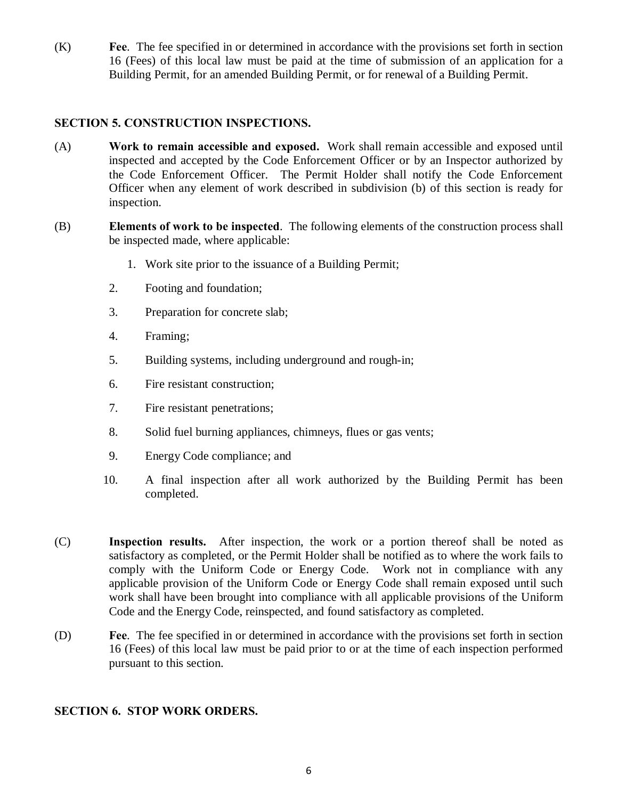(K) **Fee**. The fee specified in or determined in accordance with the provisions set forth in section 16 (Fees) of this local law must be paid at the time of submission of an application for a Building Permit, for an amended Building Permit, or for renewal of a Building Permit.

## **SECTION 5. CONSTRUCTION INSPECTIONS.**

- (A) **Work to remain accessible and exposed.** Work shall remain accessible and exposed until inspected and accepted by the Code Enforcement Officer or by an Inspector authorized by the Code Enforcement Officer. The Permit Holder shall notify the Code Enforcement Officer when any element of work described in subdivision (b) of this section is ready for inspection.
- (B) **Elements of work to be inspected**. The following elements of the construction process shall be inspected made, where applicable:
	- 1. Work site prior to the issuance of a Building Permit;
	- 2. Footing and foundation;
	- 3. Preparation for concrete slab;
	- 4. Framing;
	- 5. Building systems, including underground and rough-in;
	- 6. Fire resistant construction;
	- 7. Fire resistant penetrations;
	- 8. Solid fuel burning appliances, chimneys, flues or gas vents;
	- 9. Energy Code compliance; and
	- 10. A final inspection after all work authorized by the Building Permit has been completed.
- (C) **Inspection results.** After inspection, the work or a portion thereof shall be noted as satisfactory as completed, or the Permit Holder shall be notified as to where the work fails to comply with the Uniform Code or Energy Code. Work not in compliance with any applicable provision of the Uniform Code or Energy Code shall remain exposed until such work shall have been brought into compliance with all applicable provisions of the Uniform Code and the Energy Code, reinspected, and found satisfactory as completed.
- (D) **Fee**. The fee specified in or determined in accordance with the provisions set forth in section 16 (Fees) of this local law must be paid prior to or at the time of each inspection performed pursuant to this section.

### **SECTION 6. STOP WORK ORDERS.**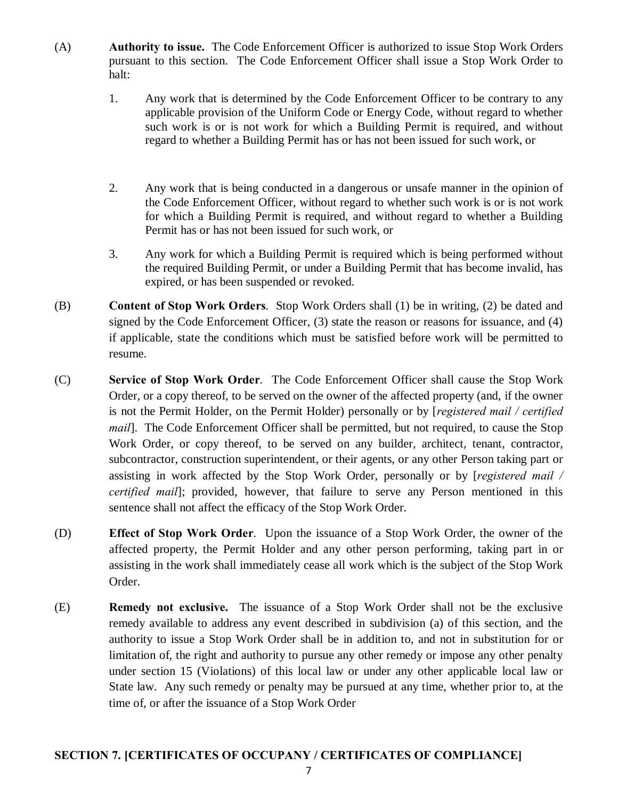- (A) **Authority to issue.** The Code Enforcement Officer is authorized to issue Stop Work Orders pursuant to this section. The Code Enforcement Officer shall issue a Stop Work Order to halt:
	- 1. Any work that is determined by the Code Enforcement Officer to be contrary to any applicable provision of the Uniform Code or Energy Code, without regard to whether such work is or is not work for which a Building Permit is required, and without regard to whether a Building Permit has or has not been issued for such work, or
	- 2. Any work that is being conducted in a dangerous or unsafe manner in the opinion of the Code Enforcement Officer, without regard to whether such work is or is not work for which a Building Permit is required, and without regard to whether a Building Permit has or has not been issued for such work, or
	- 3. Any work for which a Building Permit is required which is being performed without the required Building Permit, or under a Building Permit that has become invalid, has expired, or has been suspended or revoked.
- (B) **Content of Stop Work Orders**. Stop Work Orders shall (1) be in writing, (2) be dated and signed by the Code Enforcement Officer, (3) state the reason or reasons for issuance, and (4) if applicable, state the conditions which must be satisfied before work will be permitted to resume.
- (C) **Service of Stop Work Order**. The Code Enforcement Officer shall cause the Stop Work Order, or a copy thereof, to be served on the owner of the affected property (and, if the owner is not the Permit Holder, on the Permit Holder) personally or by [*registered mail / certified mail*]. The Code Enforcement Officer shall be permitted, but not required, to cause the Stop Work Order, or copy thereof, to be served on any builder, architect, tenant, contractor, subcontractor, construction superintendent, or their agents, or any other Person taking part or assisting in work affected by the Stop Work Order, personally or by [*registered mail / certified mail*]; provided, however, that failure to serve any Person mentioned in this sentence shall not affect the efficacy of the Stop Work Order.
- (D) **Effect of Stop Work Order**. Upon the issuance of a Stop Work Order, the owner of the affected property, the Permit Holder and any other person performing, taking part in or assisting in the work shall immediately cease all work which is the subject of the Stop Work Order.
- (E) **Remedy not exclusive.** The issuance of a Stop Work Order shall not be the exclusive remedy available to address any event described in subdivision (a) of this section, and the authority to issue a Stop Work Order shall be in addition to, and not in substitution for or limitation of, the right and authority to pursue any other remedy or impose any other penalty under section 15 (Violations) of this local law or under any other applicable local law or State law. Any such remedy or penalty may be pursued at any time, whether prior to, at the time of, or after the issuance of a Stop Work Order

# **SECTION 7. [CERTIFICATES OF OCCUPANY / CERTIFICATES OF COMPLIANCE]**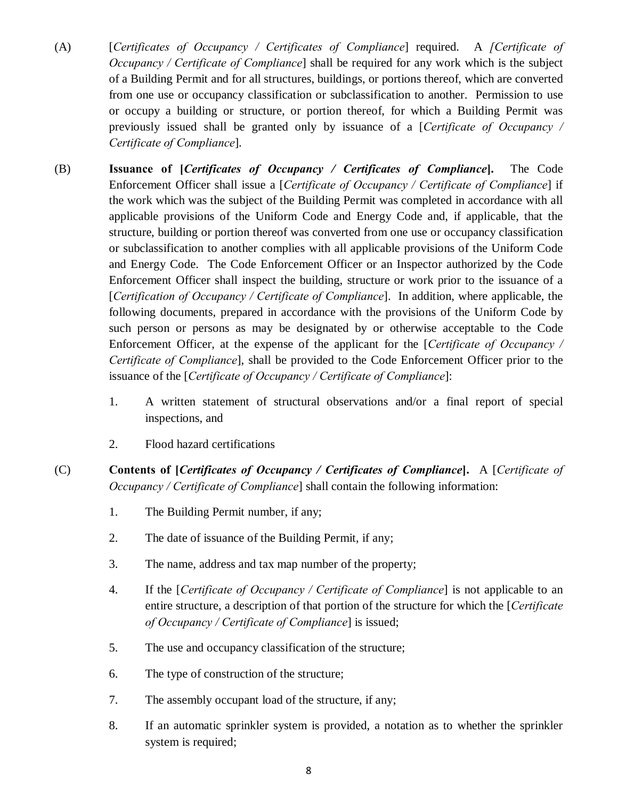- (A) [*Certificates of Occupancy / Certificates of Compliance*] required. A *[Certificate of Occupancy / Certificate of Compliance*] shall be required for any work which is the subject of a Building Permit and for all structures, buildings, or portions thereof, which are converted from one use or occupancy classification or subclassification to another. Permission to use or occupy a building or structure, or portion thereof, for which a Building Permit was previously issued shall be granted only by issuance of a [*Certificate of Occupancy / Certificate of Compliance*].
- (B) **Issuance of [***Certificates of Occupancy / Certificates of Compliance***].** The Code Enforcement Officer shall issue a [*Certificate of Occupancy / Certificate of Compliance*] if the work which was the subject of the Building Permit was completed in accordance with all applicable provisions of the Uniform Code and Energy Code and, if applicable, that the structure, building or portion thereof was converted from one use or occupancy classification or subclassification to another complies with all applicable provisions of the Uniform Code and Energy Code. The Code Enforcement Officer or an Inspector authorized by the Code Enforcement Officer shall inspect the building, structure or work prior to the issuance of a [*Certification of Occupancy / Certificate of Compliance*]. In addition, where applicable, the following documents, prepared in accordance with the provisions of the Uniform Code by such person or persons as may be designated by or otherwise acceptable to the Code Enforcement Officer, at the expense of the applicant for the [*Certificate of Occupancy / Certificate of Compliance*], shall be provided to the Code Enforcement Officer prior to the issuance of the [*Certificate of Occupancy / Certificate of Compliance*]:
	- 1. A written statement of structural observations and/or a final report of special inspections, and
	- 2. Flood hazard certifications
- (C) **Contents of [***Certificates of Occupancy / Certificates of Compliance***].** A [*Certificate of Occupancy / Certificate of Compliance*] shall contain the following information:
	- 1. The Building Permit number, if any;
	- 2. The date of issuance of the Building Permit, if any;
	- 3. The name, address and tax map number of the property;
	- 4. If the [*Certificate of Occupancy / Certificate of Compliance*] is not applicable to an entire structure, a description of that portion of the structure for which the [*Certificate of Occupancy / Certificate of Compliance*] is issued;
	- 5. The use and occupancy classification of the structure;
	- 6. The type of construction of the structure;
	- 7. The assembly occupant load of the structure, if any;
	- 8. If an automatic sprinkler system is provided, a notation as to whether the sprinkler system is required;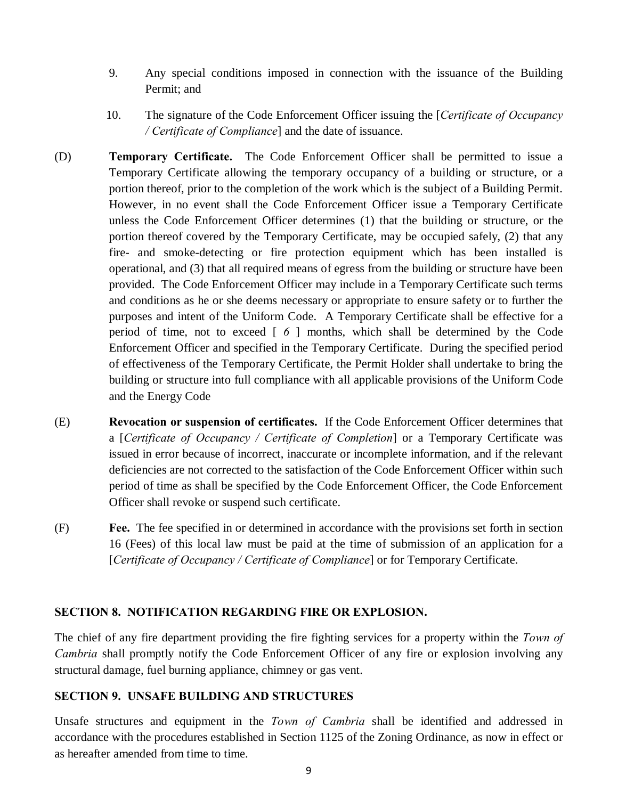- 9. Any special conditions imposed in connection with the issuance of the Building Permit; and
- 10. The signature of the Code Enforcement Officer issuing the [*Certificate of Occupancy / Certificate of Compliance*] and the date of issuance.
- (D) **Temporary Certificate.** The Code Enforcement Officer shall be permitted to issue a Temporary Certificate allowing the temporary occupancy of a building or structure, or a portion thereof, prior to the completion of the work which is the subject of a Building Permit. However, in no event shall the Code Enforcement Officer issue a Temporary Certificate unless the Code Enforcement Officer determines (1) that the building or structure, or the portion thereof covered by the Temporary Certificate, may be occupied safely, (2) that any fire- and smoke-detecting or fire protection equipment which has been installed is operational, and (3) that all required means of egress from the building or structure have been provided. The Code Enforcement Officer may include in a Temporary Certificate such terms and conditions as he or she deems necessary or appropriate to ensure safety or to further the purposes and intent of the Uniform Code. A Temporary Certificate shall be effective for a period of time, not to exceed [ *6* ] months, which shall be determined by the Code Enforcement Officer and specified in the Temporary Certificate. During the specified period of effectiveness of the Temporary Certificate, the Permit Holder shall undertake to bring the building or structure into full compliance with all applicable provisions of the Uniform Code and the Energy Code
- (E) **Revocation or suspension of certificates.** If the Code Enforcement Officer determines that a [*Certificate of Occupancy / Certificate of Completion*] or a Temporary Certificate was issued in error because of incorrect, inaccurate or incomplete information, and if the relevant deficiencies are not corrected to the satisfaction of the Code Enforcement Officer within such period of time as shall be specified by the Code Enforcement Officer, the Code Enforcement Officer shall revoke or suspend such certificate.
- (F) **Fee.** The fee specified in or determined in accordance with the provisions set forth in section 16 (Fees) of this local law must be paid at the time of submission of an application for a [*Certificate of Occupancy / Certificate of Compliance*] or for Temporary Certificate.

### **SECTION 8. NOTIFICATION REGARDING FIRE OR EXPLOSION.**

The chief of any fire department providing the fire fighting services for a property within the *Town of Cambria* shall promptly notify the Code Enforcement Officer of any fire or explosion involving any structural damage, fuel burning appliance, chimney or gas vent.

## **SECTION 9. UNSAFE BUILDING AND STRUCTURES**

Unsafe structures and equipment in the *Town of Cambria* shall be identified and addressed in accordance with the procedures established in Section 1125 of the Zoning Ordinance, as now in effect or as hereafter amended from time to time.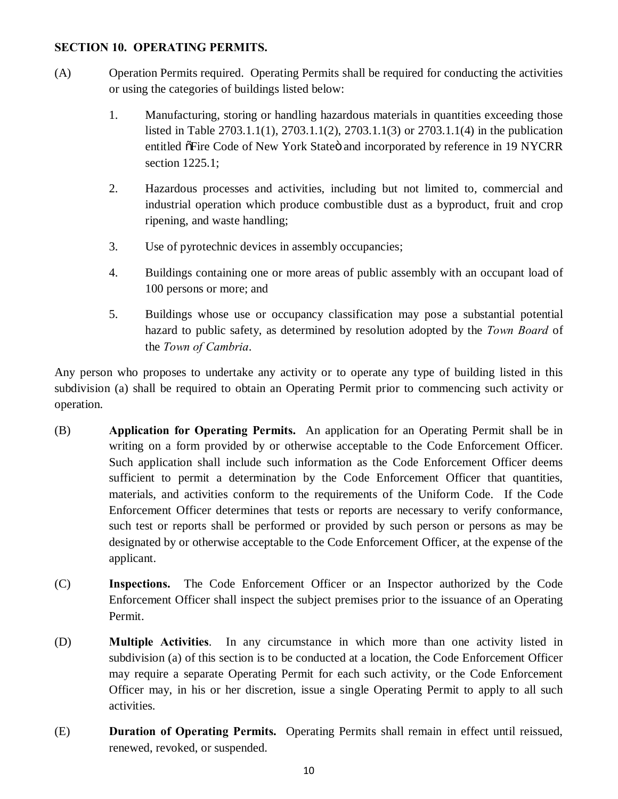## **SECTION 10. OPERATING PERMITS.**

- (A) Operation Permits required. Operating Permits shall be required for conducting the activities or using the categories of buildings listed below:
	- 1. Manufacturing, storing or handling hazardous materials in quantities exceeding those listed in Table 2703.1.1(1), 2703.1.1(2), 2703.1.1(3) or 2703.1.1(4) in the publication entitled  $\delta$ Fire Code of New York Stateö and incorporated by reference in 19 NYCRR section 1225.1;
	- 2. Hazardous processes and activities, including but not limited to, commercial and industrial operation which produce combustible dust as a byproduct, fruit and crop ripening, and waste handling;
	- 3. Use of pyrotechnic devices in assembly occupancies;
	- 4. Buildings containing one or more areas of public assembly with an occupant load of 100 persons or more; and
	- 5. Buildings whose use or occupancy classification may pose a substantial potential hazard to public safety, as determined by resolution adopted by the *Town Board* of the *Town of Cambria*.

Any person who proposes to undertake any activity or to operate any type of building listed in this subdivision (a) shall be required to obtain an Operating Permit prior to commencing such activity or operation.

- (B) **Application for Operating Permits.** An application for an Operating Permit shall be in writing on a form provided by or otherwise acceptable to the Code Enforcement Officer. Such application shall include such information as the Code Enforcement Officer deems sufficient to permit a determination by the Code Enforcement Officer that quantities, materials, and activities conform to the requirements of the Uniform Code. If the Code Enforcement Officer determines that tests or reports are necessary to verify conformance, such test or reports shall be performed or provided by such person or persons as may be designated by or otherwise acceptable to the Code Enforcement Officer, at the expense of the applicant.
- (C) **Inspections.** The Code Enforcement Officer or an Inspector authorized by the Code Enforcement Officer shall inspect the subject premises prior to the issuance of an Operating Permit.
- (D) **Multiple Activities**. In any circumstance in which more than one activity listed in subdivision (a) of this section is to be conducted at a location, the Code Enforcement Officer may require a separate Operating Permit for each such activity, or the Code Enforcement Officer may, in his or her discretion, issue a single Operating Permit to apply to all such activities.
- (E) **Duration of Operating Permits.** Operating Permits shall remain in effect until reissued, renewed, revoked, or suspended.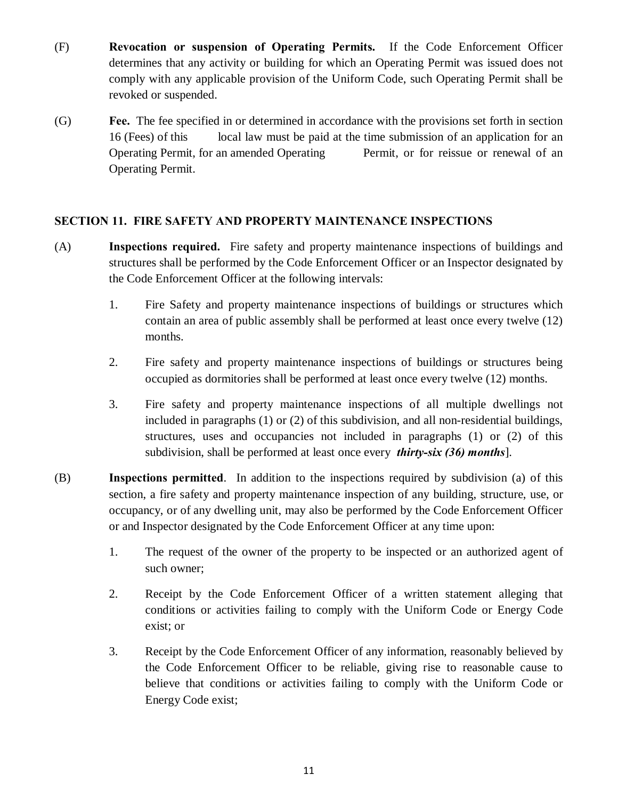- (F) **Revocation or suspension of Operating Permits.** If the Code Enforcement Officer determines that any activity or building for which an Operating Permit was issued does not comply with any applicable provision of the Uniform Code, such Operating Permit shall be revoked or suspended.
- (G) **Fee.** The fee specified in or determined in accordance with the provisions set forth in section 16 (Fees) of this local law must be paid at the time submission of an application for an Operating Permit, for an amended Operating Permit, or for reissue or renewal of an Operating Permit.

# **SECTION 11. FIRE SAFETY AND PROPERTY MAINTENANCE INSPECTIONS**

- (A) **Inspections required.** Fire safety and property maintenance inspections of buildings and structures shall be performed by the Code Enforcement Officer or an Inspector designated by the Code Enforcement Officer at the following intervals:
	- 1. Fire Safety and property maintenance inspections of buildings or structures which contain an area of public assembly shall be performed at least once every twelve (12) months.
	- 2. Fire safety and property maintenance inspections of buildings or structures being occupied as dormitories shall be performed at least once every twelve (12) months.
	- 3. Fire safety and property maintenance inspections of all multiple dwellings not included in paragraphs (1) or (2) of this subdivision, and all non-residential buildings, structures, uses and occupancies not included in paragraphs (1) or (2) of this subdivision, shall be performed at least once every *thirty-six (36) months*].
- (B) **Inspections permitted**. In addition to the inspections required by subdivision (a) of this section, a fire safety and property maintenance inspection of any building, structure, use, or occupancy, or of any dwelling unit, may also be performed by the Code Enforcement Officer or and Inspector designated by the Code Enforcement Officer at any time upon:
	- 1. The request of the owner of the property to be inspected or an authorized agent of such owner;
	- 2. Receipt by the Code Enforcement Officer of a written statement alleging that conditions or activities failing to comply with the Uniform Code or Energy Code exist; or
	- 3. Receipt by the Code Enforcement Officer of any information, reasonably believed by the Code Enforcement Officer to be reliable, giving rise to reasonable cause to believe that conditions or activities failing to comply with the Uniform Code or Energy Code exist;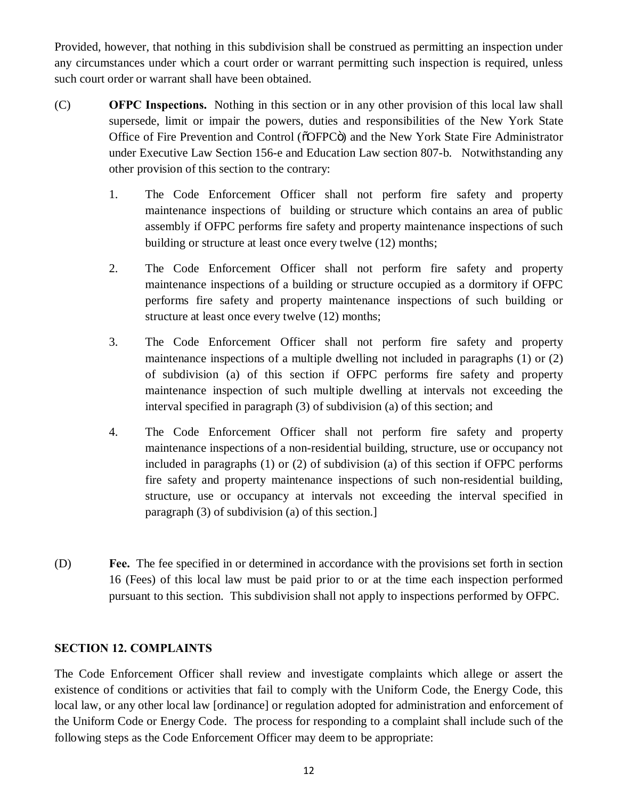Provided, however, that nothing in this subdivision shall be construed as permitting an inspection under any circumstances under which a court order or warrant permitting such inspection is required, unless such court order or warrant shall have been obtained.

- (C) **OFPC Inspections.** Nothing in this section or in any other provision of this local law shall supersede, limit or impair the powers, duties and responsibilities of the New York State Office of Fire Prevention and Control (õOFPCö) and the New York State Fire Administrator under Executive Law Section 156-e and Education Law section 807-b. Notwithstanding any other provision of this section to the contrary:
	- 1. The Code Enforcement Officer shall not perform fire safety and property maintenance inspections of building or structure which contains an area of public assembly if OFPC performs fire safety and property maintenance inspections of such building or structure at least once every twelve (12) months;
	- 2. The Code Enforcement Officer shall not perform fire safety and property maintenance inspections of a building or structure occupied as a dormitory if OFPC performs fire safety and property maintenance inspections of such building or structure at least once every twelve (12) months;
	- 3. The Code Enforcement Officer shall not perform fire safety and property maintenance inspections of a multiple dwelling not included in paragraphs (1) or (2) of subdivision (a) of this section if OFPC performs fire safety and property maintenance inspection of such multiple dwelling at intervals not exceeding the interval specified in paragraph (3) of subdivision (a) of this section; and
	- 4. The Code Enforcement Officer shall not perform fire safety and property maintenance inspections of a non-residential building, structure, use or occupancy not included in paragraphs (1) or (2) of subdivision (a) of this section if OFPC performs fire safety and property maintenance inspections of such non-residential building, structure, use or occupancy at intervals not exceeding the interval specified in paragraph (3) of subdivision (a) of this section.]
- (D) **Fee.** The fee specified in or determined in accordance with the provisions set forth in section 16 (Fees) of this local law must be paid prior to or at the time each inspection performed pursuant to this section. This subdivision shall not apply to inspections performed by OFPC.

# **SECTION 12. COMPLAINTS**

The Code Enforcement Officer shall review and investigate complaints which allege or assert the existence of conditions or activities that fail to comply with the Uniform Code, the Energy Code, this local law, or any other local law [ordinance] or regulation adopted for administration and enforcement of the Uniform Code or Energy Code. The process for responding to a complaint shall include such of the following steps as the Code Enforcement Officer may deem to be appropriate: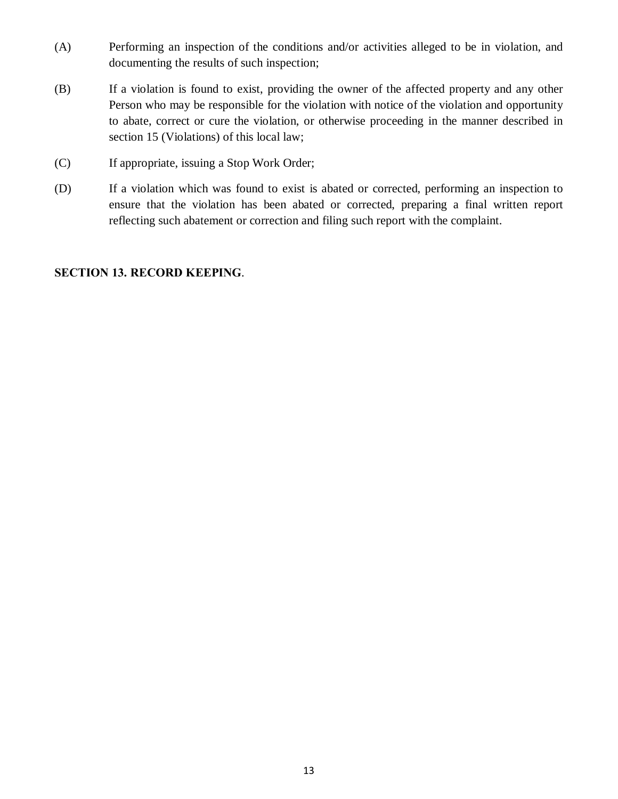- (A) Performing an inspection of the conditions and/or activities alleged to be in violation, and documenting the results of such inspection;
- (B) If a violation is found to exist, providing the owner of the affected property and any other Person who may be responsible for the violation with notice of the violation and opportunity to abate, correct or cure the violation, or otherwise proceeding in the manner described in section 15 (Violations) of this local law;
- (C) If appropriate, issuing a Stop Work Order;
- (D) If a violation which was found to exist is abated or corrected, performing an inspection to ensure that the violation has been abated or corrected, preparing a final written report reflecting such abatement or correction and filing such report with the complaint.

## **SECTION 13. RECORD KEEPING**.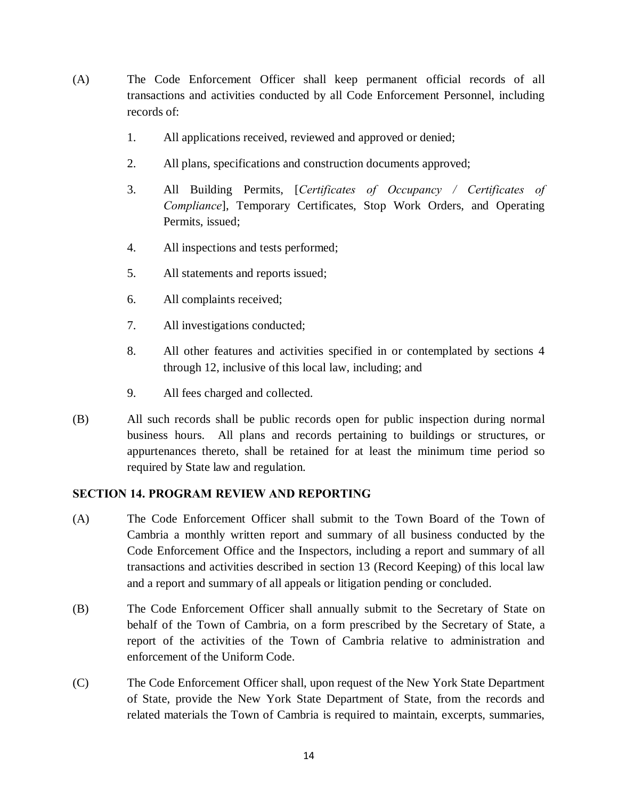- (A) The Code Enforcement Officer shall keep permanent official records of all transactions and activities conducted by all Code Enforcement Personnel, including records of:
	- 1. All applications received, reviewed and approved or denied;
	- 2. All plans, specifications and construction documents approved;
	- 3. All Building Permits, [*Certificates of Occupancy / Certificates of Compliance*], Temporary Certificates, Stop Work Orders, and Operating Permits, issued;
	- 4. All inspections and tests performed;
	- 5. All statements and reports issued;
	- 6. All complaints received;
	- 7. All investigations conducted;
	- 8. All other features and activities specified in or contemplated by sections 4 through 12, inclusive of this local law, including; and
	- 9. All fees charged and collected.
- (B) All such records shall be public records open for public inspection during normal business hours. All plans and records pertaining to buildings or structures, or appurtenances thereto, shall be retained for at least the minimum time period so required by State law and regulation.

### **SECTION 14. PROGRAM REVIEW AND REPORTING**

- (A) The Code Enforcement Officer shall submit to the Town Board of the Town of Cambria a monthly written report and summary of all business conducted by the Code Enforcement Office and the Inspectors, including a report and summary of all transactions and activities described in section 13 (Record Keeping) of this local law and a report and summary of all appeals or litigation pending or concluded.
- (B) The Code Enforcement Officer shall annually submit to the Secretary of State on behalf of the Town of Cambria, on a form prescribed by the Secretary of State, a report of the activities of the Town of Cambria relative to administration and enforcement of the Uniform Code.
- (C) The Code Enforcement Officer shall, upon request of the New York State Department of State, provide the New York State Department of State, from the records and related materials the Town of Cambria is required to maintain, excerpts, summaries,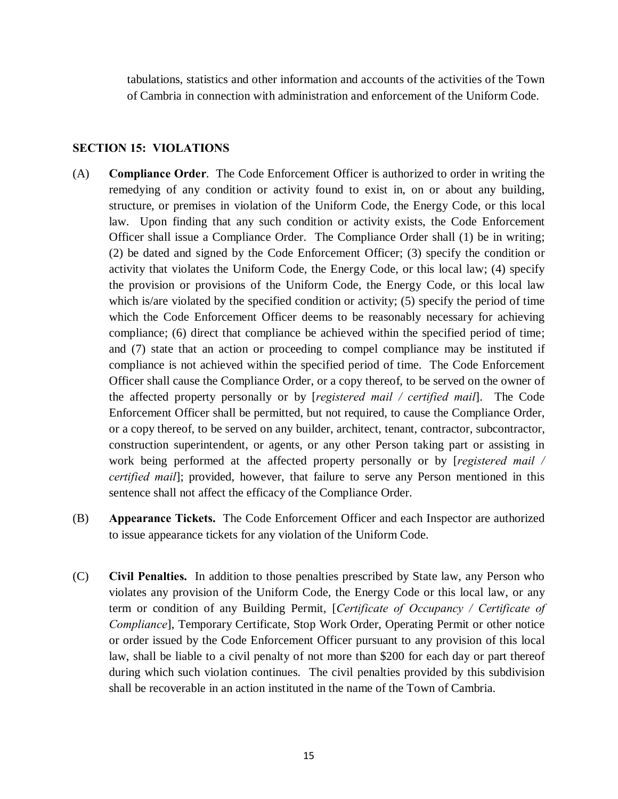tabulations, statistics and other information and accounts of the activities of the Town of Cambria in connection with administration and enforcement of the Uniform Code.

## **SECTION 15: VIOLATIONS**

- (A) **Compliance Order**. The Code Enforcement Officer is authorized to order in writing the remedying of any condition or activity found to exist in, on or about any building, structure, or premises in violation of the Uniform Code, the Energy Code, or this local law. Upon finding that any such condition or activity exists, the Code Enforcement Officer shall issue a Compliance Order. The Compliance Order shall (1) be in writing; (2) be dated and signed by the Code Enforcement Officer; (3) specify the condition or activity that violates the Uniform Code, the Energy Code, or this local law; (4) specify the provision or provisions of the Uniform Code, the Energy Code, or this local law which is/are violated by the specified condition or activity; (5) specify the period of time which the Code Enforcement Officer deems to be reasonably necessary for achieving compliance; (6) direct that compliance be achieved within the specified period of time; and (7) state that an action or proceeding to compel compliance may be instituted if compliance is not achieved within the specified period of time. The Code Enforcement Officer shall cause the Compliance Order, or a copy thereof, to be served on the owner of the affected property personally or by [*registered mail / certified mail*]. The Code Enforcement Officer shall be permitted, but not required, to cause the Compliance Order, or a copy thereof, to be served on any builder, architect, tenant, contractor, subcontractor, construction superintendent, or agents, or any other Person taking part or assisting in work being performed at the affected property personally or by [*registered mail / certified mail*]; provided, however, that failure to serve any Person mentioned in this sentence shall not affect the efficacy of the Compliance Order.
- (B) **Appearance Tickets.** The Code Enforcement Officer and each Inspector are authorized to issue appearance tickets for any violation of the Uniform Code.
- (C) **Civil Penalties.** In addition to those penalties prescribed by State law, any Person who violates any provision of the Uniform Code, the Energy Code or this local law, or any term or condition of any Building Permit, [*Certificate of Occupancy / Certificate of Compliance*], Temporary Certificate, Stop Work Order, Operating Permit or other notice or order issued by the Code Enforcement Officer pursuant to any provision of this local law, shall be liable to a civil penalty of not more than \$200 for each day or part thereof during which such violation continues. The civil penalties provided by this subdivision shall be recoverable in an action instituted in the name of the Town of Cambria.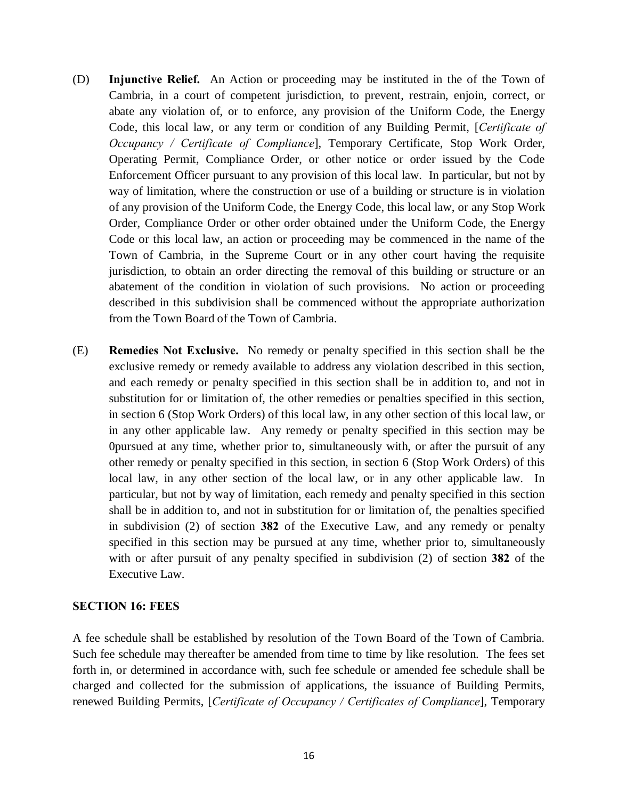- (D) **Injunctive Relief.** An Action or proceeding may be instituted in the of the Town of Cambria, in a court of competent jurisdiction, to prevent, restrain, enjoin, correct, or abate any violation of, or to enforce, any provision of the Uniform Code, the Energy Code, this local law, or any term or condition of any Building Permit, [*Certificate of Occupancy / Certificate of Compliance*], Temporary Certificate, Stop Work Order, Operating Permit, Compliance Order, or other notice or order issued by the Code Enforcement Officer pursuant to any provision of this local law. In particular, but not by way of limitation, where the construction or use of a building or structure is in violation of any provision of the Uniform Code, the Energy Code, this local law, or any Stop Work Order, Compliance Order or other order obtained under the Uniform Code, the Energy Code or this local law, an action or proceeding may be commenced in the name of the Town of Cambria, in the Supreme Court or in any other court having the requisite jurisdiction, to obtain an order directing the removal of this building or structure or an abatement of the condition in violation of such provisions. No action or proceeding described in this subdivision shall be commenced without the appropriate authorization from the Town Board of the Town of Cambria.
- (E) **Remedies Not Exclusive.** No remedy or penalty specified in this section shall be the exclusive remedy or remedy available to address any violation described in this section, and each remedy or penalty specified in this section shall be in addition to, and not in substitution for or limitation of, the other remedies or penalties specified in this section, in section 6 (Stop Work Orders) of this local law, in any other section of this local law, or in any other applicable law. Any remedy or penalty specified in this section may be 0pursued at any time, whether prior to, simultaneously with, or after the pursuit of any other remedy or penalty specified in this section, in section 6 (Stop Work Orders) of this local law, in any other section of the local law, or in any other applicable law. In particular, but not by way of limitation, each remedy and penalty specified in this section shall be in addition to, and not in substitution for or limitation of, the penalties specified in subdivision (2) of section **382** of the Executive Law, and any remedy or penalty specified in this section may be pursued at any time, whether prior to, simultaneously with or after pursuit of any penalty specified in subdivision (2) of section **382** of the Executive Law.

### **SECTION 16: FEES**

A fee schedule shall be established by resolution of the Town Board of the Town of Cambria. Such fee schedule may thereafter be amended from time to time by like resolution. The fees set forth in, or determined in accordance with, such fee schedule or amended fee schedule shall be charged and collected for the submission of applications, the issuance of Building Permits, renewed Building Permits, [*Certificate of Occupancy / Certificates of Compliance*], Temporary